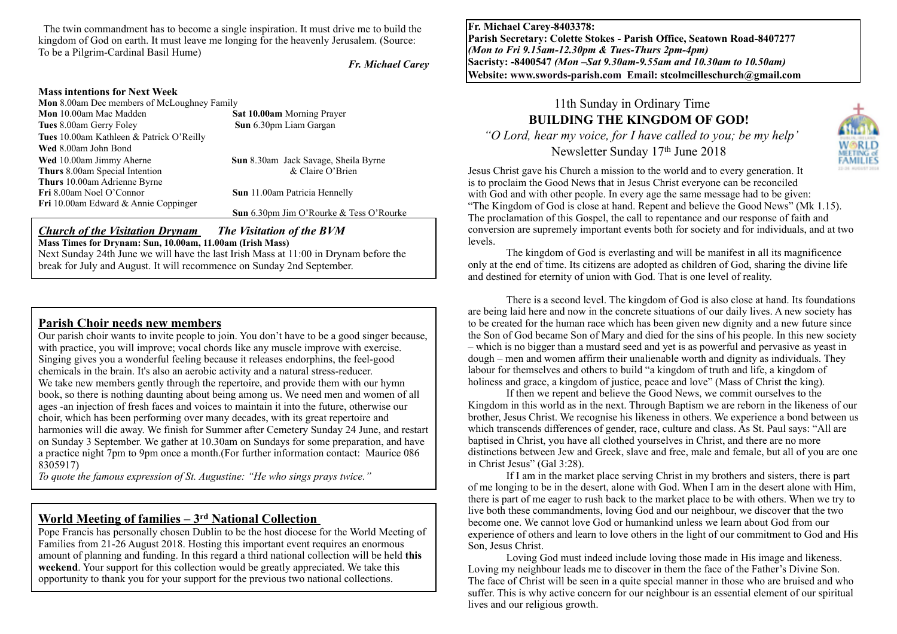The twin commandment has to become a single inspiration. It must drive me to build the kingdom of God on earth. It must leave me longing for the heavenly Jerusalem. (Source: To be a Pilgrim-Cardinal Basil Hume)

*Fr. Michael Carey* 

#### **Mass intentions for Next Week**

**Mon** 8.00am Dec members of McLoughney Family<br>**Mon** 10.00am Mac Madden<br>**S Sat 10.00am Morning Prayer Tues** 8.00am Gerry Foley **Sun** 6.30pm Liam Gargan **Tues** 10.00am Kathleen & Patrick O'Reilly **Wed** 8.00am John Bond **Wed** 10.00am Jimmy Aherne **Sun** 8.30am Jack Savage, Sheila Byrne **Thurs** 8.00am Special Intention **Sun** 8.30am Jack Savage, Sheila Byrne **Thurs** 8.00am Special Intention **Thurs** 10.00am Adrienne Byrne **Fri** 8.00am Noel O'Connor **Sun** 11.00am Patricia Hennelly **Fri** 10.00am Edward & Annie Coppinger **Sun** 6.30pm Jim O'Rourke & Tess O'Rourke

#### *Church of the Visitation Drynam**The Visitation of the BVM* **Mass Times for Drynam: Sun, 10.00am, 11.00am (Irish Mass)**

Next Sunday 24th June we will have the last Irish Mass at 11:00 in Drynam before the break for July and August. It will recommence on Sunday 2nd September.

## **Parish Choir needs new members**

Our parish choir wants to invite people to join. You don't have to be a good singer because, with practice, you will improve; vocal chords like any muscle improve with exercise. Singing gives you a wonderful feeling because it releases endorphins, the feel-good chemicals in the brain. It's also an aerobic activity and a natural stress-reducer. We take new members gently through the repertoire, and provide them with our hymn book, so there is nothing daunting about being among us. We need men and women of all ages -an injection of fresh faces and voices to maintain it into the future, otherwise our choir, which has been performing over many decades, with its great repertoire and harmonies will die away. We finish for Summer after Cemetery Sunday 24 June, and restart on Sunday 3 September. We gather at 10.30am on Sundays for some preparation, and have a practice night 7pm to 9pm once a month.(For further information contact: Maurice 086 8305917)

*To quote the famous expression of St. Augustine: "He who sings prays twice."*

## **World Meeting of families – 3rd National Collection**

Pope Francis has personally chosen Dublin to be the host diocese for the World Meeting of Families from 21-26 August 2018. Hosting this important event requires an enormous amount of planning and funding. In this regard a third national collection will be held **this weekend**. Your support for this collection would be greatly appreciated. We take this opportunity to thank you for your support for the previous two national collections.

**Fr. Michael Carey-8403378: Parish Secretary: Colette Stokes - Parish Office, Seatown Road-8407277**  *(Mon to Fri 9.15am-12.30pm & Tues-Thurs 2pm-4pm)*  **Sacristy: -8400547** *(Mon –Sat 9.30am-9.55am and 10.30am to 10.50am)* **Website: [www.swords-parish.com Email:](http://www.swords-parish.com%20%20email) stcolmcilleschurch@gmail.com**

# 11th Sunday in Ordinary Time **BUILDING THE KINGDOM OF GOD!**

 *"O Lord, hear my voice, for I have called to you; be my help'*  Newsletter Sunday 17th June 2018



Jesus Christ gave his Church a mission to the world and to every generation. It is to proclaim the Good News that in Jesus Christ everyone can be reconciled with God and with other people. In every age the same message had to be given: "The Kingdom of God is close at hand. Repent and believe the Good News" (Mk 1.15). The proclamation of this Gospel, the call to repentance and our response of faith and conversion are supremely important events both for society and for individuals, and at two levels.

The kingdom of God is everlasting and will be manifest in all its magnificence only at the end of time. Its citizens are adopted as children of God, sharing the divine life and destined for eternity of union with God. That is one level of reality.

There is a second level. The kingdom of God is also close at hand. Its foundations are being laid here and now in the concrete situations of our daily lives. A new society has to be created for the human race which has been given new dignity and a new future since the Son of God became Son of Mary and died for the sins of his people. In this new society – which is no bigger than a mustard seed and yet is as powerful and pervasive as yeast in dough – men and women affirm their unalienable worth and dignity as individuals. They labour for themselves and others to build "a kingdom of truth and life, a kingdom of holiness and grace, a kingdom of justice, peace and love" (Mass of Christ the king).

If then we repent and believe the Good News, we commit ourselves to the Kingdom in this world as in the next. Through Baptism we are reborn in the likeness of our brother, Jesus Christ. We recognise his likeness in others. We experience a bond between us which transcends differences of gender, race, culture and class. As St. Paul says: "All are baptised in Christ, you have all clothed yourselves in Christ, and there are no more distinctions between Jew and Greek, slave and free, male and female, but all of you are one in Christ Jesus" (Gal 3:28).

If I am in the market place serving Christ in my brothers and sisters, there is part of me longing to be in the desert, alone with God. When I am in the desert alone with Him, there is part of me eager to rush back to the market place to be with others. When we try to live both these commandments, loving God and our neighbour, we discover that the two become one. We cannot love God or humankind unless we learn about God from our experience of others and learn to love others in the light of our commitment to God and His Son, Jesus Christ.

Loving God must indeed include loving those made in His image and likeness. Loving my neighbour leads me to discover in them the face of the Father's Divine Son. The face of Christ will be seen in a quite special manner in those who are bruised and who suffer. This is why active concern for our neighbour is an essential element of our spiritual lives and our religious growth.